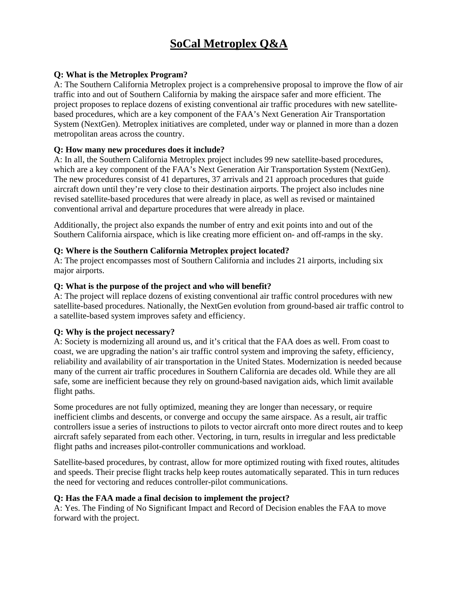# **SoCal Metroplex Q&A**

# **Q: What is the Metroplex Program?**

A: The Southern California Metroplex project is a comprehensive proposal to improve the flow of air traffic into and out of Southern California by making the airspace safer and more efficient. The project proposes to replace dozens of existing conventional air traffic procedures with new satellitebased procedures, which are a key component of the FAA's Next Generation Air Transportation System (NextGen). Metroplex initiatives are completed, under way or planned in more than a dozen metropolitan areas across the country.

### **Q: How many new procedures does it include?**

A: In all, the Southern California Metroplex project includes 99 new satellite-based procedures, which are a key component of the FAA's Next Generation Air Transportation System (NextGen). The new procedures consist of 41 departures, 37 arrivals and 21 approach procedures that guide aircraft down until they're very close to their destination airports. The project also includes nine revised satellite-based procedures that were already in place, as well as revised or maintained conventional arrival and departure procedures that were already in place.

Additionally, the project also expands the number of entry and exit points into and out of the Southern California airspace, which is like creating more efficient on- and off-ramps in the sky.

## **Q: Where is the Southern California Metroplex project located?**

A: The project encompasses most of Southern California and includes 21 airports, including six major airports.

### **Q: What is the purpose of the project and who will benefit?**

A: The project will replace dozens of existing conventional air traffic control procedures with new satellite-based procedures. Nationally, the NextGen evolution from ground-based air traffic control to a satellite-based system improves safety and efficiency.

## **Q: Why is the project necessary?**

A: Society is modernizing all around us, and it's critical that the FAA does as well. From coast to coast, we are upgrading the nation's air traffic control system and improving the safety, efficiency, reliability and availability of air transportation in the United States. Modernization is needed because many of the current air traffic procedures in Southern California are decades old. While they are all safe, some are inefficient because they rely on ground-based navigation aids, which limit available flight paths.

Some procedures are not fully optimized, meaning they are longer than necessary, or require inefficient climbs and descents, or converge and occupy the same airspace. As a result, air traffic controllers issue a series of instructions to pilots to vector aircraft onto more direct routes and to keep aircraft safely separated from each other. Vectoring, in turn, results in irregular and less predictable flight paths and increases pilot-controller communications and workload.

Satellite-based procedures, by contrast, allow for more optimized routing with fixed routes, altitudes and speeds. Their precise flight tracks help keep routes automatically separated. This in turn reduces the need for vectoring and reduces controller-pilot communications.

## **Q: Has the FAA made a final decision to implement the project?**

A: Yes. The Finding of No Significant Impact and Record of Decision enables the FAA to move forward with the project.